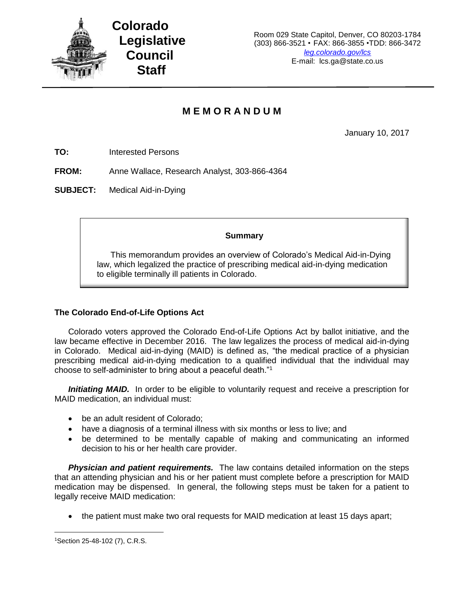

## **M E M O R A N D U M**

January 10, 2017

**TO:** Interested Persons

**FROM:** Anne Wallace, Research Analyst, 303-866-4364

**SUBJECT:** Medical Aid-in-Dying

## **Summary**

This memorandum provides an overview of Colorado's Medical Aid-in-Dying law, which legalized the practice of prescribing medical aid-in-dying medication to eligible terminally ill patients in Colorado.

## **The Colorado End-of-Life Options Act**

Colorado voters approved the Colorado End-of-Life Options Act by ballot initiative, and the law became effective in December 2016. The law legalizes the process of medical aid-in-dying in Colorado. Medical aid-in-dying (MAID) is defined as, "the medical practice of a physician prescribing medical aid-in-dying medication to a qualified individual that the individual may choose to self-administer to bring about a peaceful death."<sup>1</sup>

**Initiating MAID.** In order to be eligible to voluntarily request and receive a prescription for MAID medication, an individual must:

- be an adult resident of Colorado;
- have a diagnosis of a terminal illness with six months or less to live; and
- be determined to be mentally capable of making and communicating an informed decision to his or her health care provider.

*Physician and patient requirements.* The law contains detailed information on the steps that an attending physician and his or her patient must complete before a prescription for MAID medication may be dispensed. In general, the following steps must be taken for a patient to legally receive MAID medication:

• the patient must make two oral requests for MAID medication at least 15 days apart;

 $\overline{\phantom{a}}$ 

<sup>1</sup>Section 25-48-102 (7), C.R.S.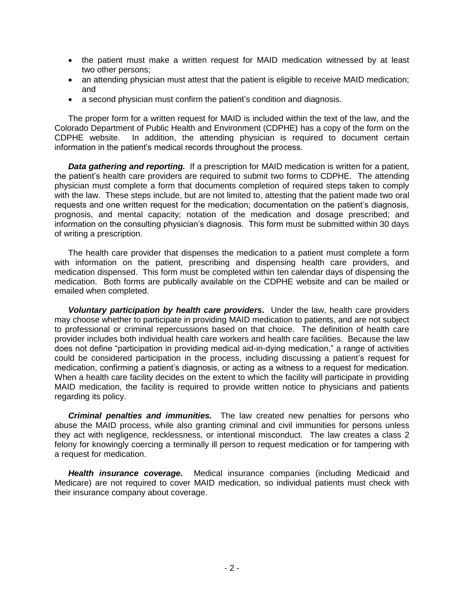- the patient must make a written request for MAID medication witnessed by at least two other persons;
- an attending physician must attest that the patient is eligible to receive MAID medication; and
- a second physician must confirm the patient's condition and diagnosis.

The proper form for a written request for MAID is included within the text of the law, and the Colorado Department of Public Health and Environment (CDPHE) has a copy of the form on the CDPHE website. In addition, the attending physician is required to document certain information in the patient's medical records throughout the process.

*Data gathering and reporting.* If a prescription for MAID medication is written for a patient, the patient's health care providers are required to submit two forms to CDPHE. The attending physician must complete a form that documents completion of required steps taken to comply with the law. These steps include, but are not limited to, attesting that the patient made two oral requests and one written request for the medication; documentation on the patient's diagnosis, prognosis, and mental capacity; notation of the medication and dosage prescribed; and information on the consulting physician's diagnosis. This form must be submitted within 30 days of writing a prescription.

The health care provider that dispenses the medication to a patient must complete a form with information on the patient, prescribing and dispensing health care providers, and medication dispensed. This form must be completed within ten calendar days of dispensing the medication. Both forms are publically available on the CDPHE website and can be mailed or emailed when completed.

*Voluntary participation by health care providers.* Under the law, health care providers may choose whether to participate in providing MAID medication to patients, and are not subject to professional or criminal repercussions based on that choice. The definition of health care provider includes both individual health care workers and health care facilities. Because the law does not define "participation in providing medical aid-in-dying medication," a range of activities could be considered participation in the process, including discussing a patient's request for medication, confirming a patient's diagnosis, or acting as a witness to a request for medication. When a health care facility decides on the extent to which the facility will participate in providing MAID medication, the facility is required to provide written notice to physicians and patients regarding its policy.

*Criminal penalties and immunities.* The law created new penalties for persons who abuse the MAID process, while also granting criminal and civil immunities for persons unless they act with negligence, recklessness, or intentional misconduct. The law creates a class 2 felony for knowingly coercing a terminally ill person to request medication or for tampering with a request for medication.

*Health insurance coverage.* Medical insurance companies (including Medicaid and Medicare) are not required to cover MAID medication, so individual patients must check with their insurance company about coverage.